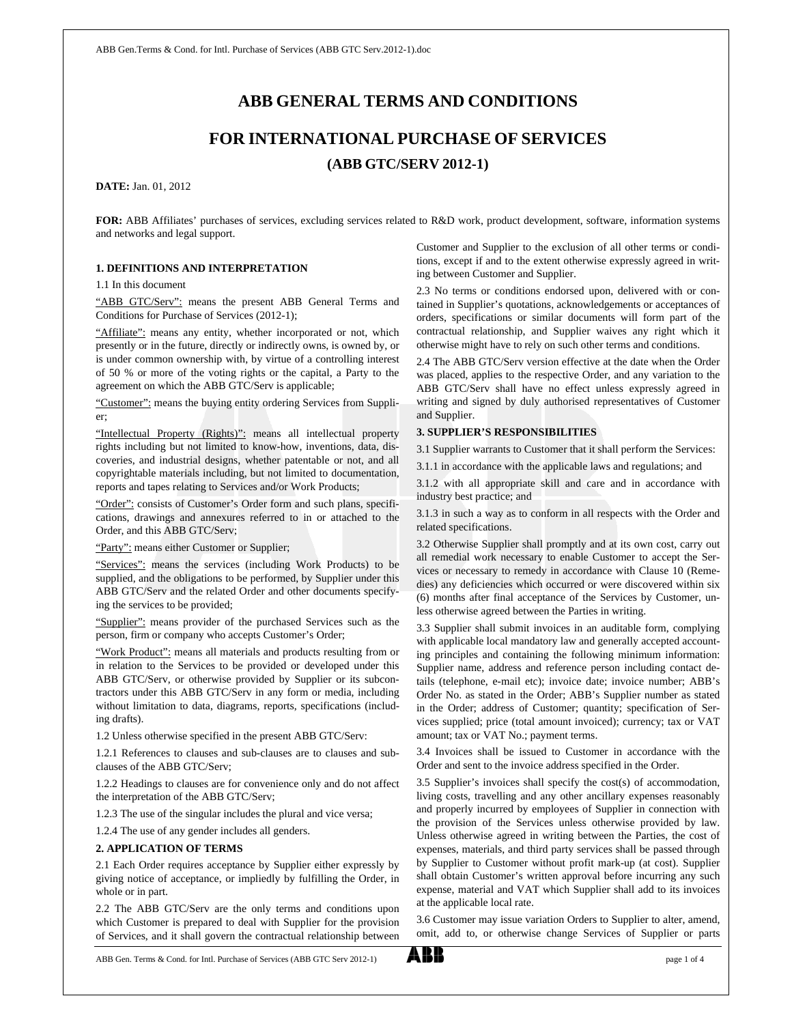# **ABB GENERAL TERMS AND CONDITIONS**

# **FOR INTERNATIONAL PURCHASE OF SERVICES (ABB GTC/SERV 2012-1)**

**DATE:** Jan. 01, 2012

**FOR:** ABB Affiliates' purchases of services, excluding services related to R&D work, product development, software, information systems and networks and legal support.

#### **1. DEFINITIONS AND INTERPRETATION**

#### 1.1 In this document

"ABB GTC/Serv": means the present ABB General Terms and Conditions for Purchase of Services (2012-1);

"Affiliate": means any entity, whether incorporated or not, which presently or in the future, directly or indirectly owns, is owned by, or is under common ownership with, by virtue of a controlling interest of 50 % or more of the voting rights or the capital, a Party to the agreement on which the ABB GTC/Serv is applicable;

"Customer": means the buying entity ordering Services from Supplier;

"Intellectual Property (Rights)": means all intellectual property rights including but not limited to know-how, inventions, data, discoveries, and industrial designs, whether patentable or not, and all copyrightable materials including, but not limited to documentation, reports and tapes relating to Services and/or Work Products;

"Order": consists of Customer's Order form and such plans, specifications, drawings and annexures referred to in or attached to the Order, and this ABB GTC/Serv;

"Party": means either Customer or Supplier;

"Services": means the services (including Work Products) to be supplied, and the obligations to be performed, by Supplier under this ABB GTC/Serv and the related Order and other documents specifying the services to be provided;

"Supplier": means provider of the purchased Services such as the person, firm or company who accepts Customer's Order;

"Work Product": means all materials and products resulting from or in relation to the Services to be provided or developed under this ABB GTC/Serv, or otherwise provided by Supplier or its subcontractors under this ABB GTC/Serv in any form or media, including without limitation to data, diagrams, reports, specifications (including drafts).

1.2 Unless otherwise specified in the present ABB GTC/Serv:

1.2.1 References to clauses and sub-clauses are to clauses and subclauses of the ABB GTC/Serv;

1.2.2 Headings to clauses are for convenience only and do not affect the interpretation of the ABB GTC/Serv;

1.2.3 The use of the singular includes the plural and vice versa;

1.2.4 The use of any gender includes all genders.

#### **2. APPLICATION OF TERMS**

2.1 Each Order requires acceptance by Supplier either expressly by giving notice of acceptance, or impliedly by fulfilling the Order, in whole or in part.

2.2 The ABB GTC/Serv are the only terms and conditions upon which Customer is prepared to deal with Supplier for the provision of Services, and it shall govern the contractual relationship between Customer and Supplier to the exclusion of all other terms or conditions, except if and to the extent otherwise expressly agreed in writing between Customer and Supplier.

2.3 No terms or conditions endorsed upon, delivered with or contained in Supplier's quotations, acknowledgements or acceptances of orders, specifications or similar documents will form part of the contractual relationship, and Supplier waives any right which it otherwise might have to rely on such other terms and conditions.

2.4 The ABB GTC/Serv version effective at the date when the Order was placed, applies to the respective Order, and any variation to the ABB GTC/Serv shall have no effect unless expressly agreed in writing and signed by duly authorised representatives of Customer and Supplier.

#### **3. SUPPLIER'S RESPONSIBILITIES**

3.1 Supplier warrants to Customer that it shall perform the Services:

3.1.1 in accordance with the applicable laws and regulations; and

3.1.2 with all appropriate skill and care and in accordance with industry best practice; and

3.1.3 in such a way as to conform in all respects with the Order and related specifications.

3.2 Otherwise Supplier shall promptly and at its own cost, carry out all remedial work necessary to enable Customer to accept the Services or necessary to remedy in accordance with Clause 10 (Remedies) any deficiencies which occurred or were discovered within six (6) months after final acceptance of the Services by Customer, unless otherwise agreed between the Parties in writing.

3.3 Supplier shall submit invoices in an auditable form, complying with applicable local mandatory law and generally accepted accounting principles and containing the following minimum information: Supplier name, address and reference person including contact details (telephone, e-mail etc); invoice date; invoice number; ABB's Order No. as stated in the Order; ABB's Supplier number as stated in the Order; address of Customer; quantity; specification of Services supplied; price (total amount invoiced); currency; tax or VAT amount; tax or VAT No.; payment terms.

3.4 Invoices shall be issued to Customer in accordance with the Order and sent to the invoice address specified in the Order.

3.5 Supplier's invoices shall specify the cost(s) of accommodation, living costs, travelling and any other ancillary expenses reasonably and properly incurred by employees of Supplier in connection with the provision of the Services unless otherwise provided by law. Unless otherwise agreed in writing between the Parties, the cost of expenses, materials, and third party services shall be passed through by Supplier to Customer without profit mark-up (at cost). Supplier shall obtain Customer's written approval before incurring any such expense, material and VAT which Supplier shall add to its invoices at the applicable local rate.

3.6 Customer may issue variation Orders to Supplier to alter, amend, omit, add to, or otherwise change Services of Supplier or parts

ABB Gen. Terms & Cond. for Intl. Purchase of Services (ABB GTC Serv 2012-1)  $\bullet$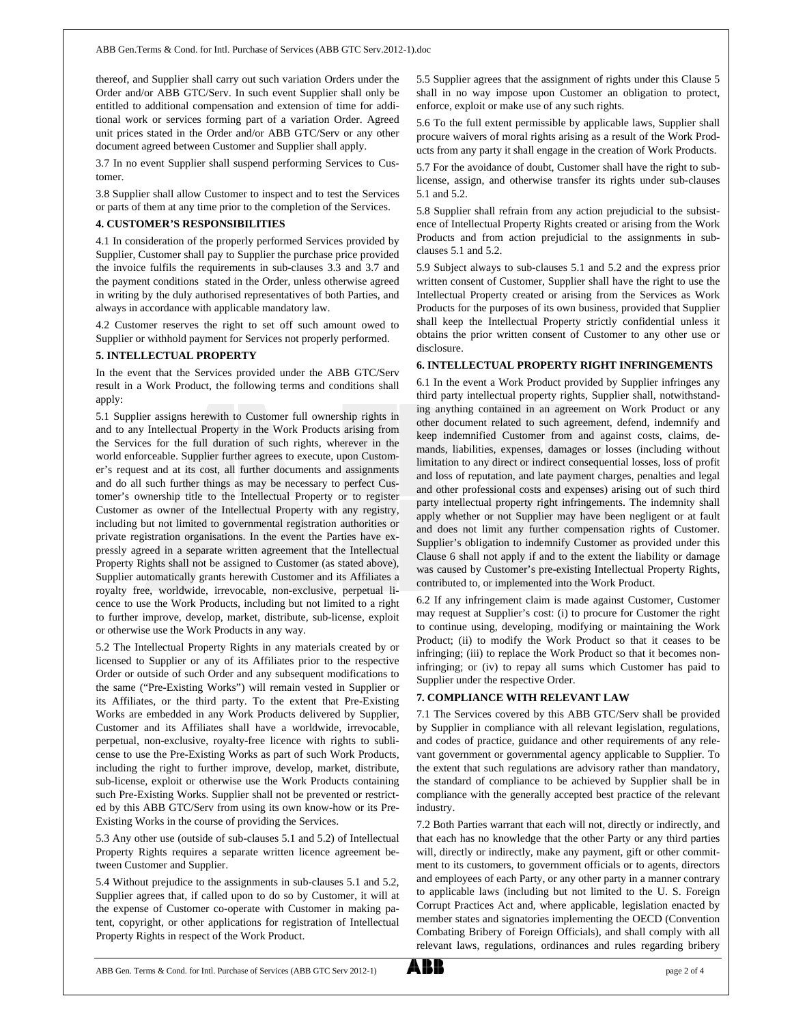thereof, and Supplier shall carry out such variation Orders under the Order and/or ABB GTC/Serv. In such event Supplier shall only be entitled to additional compensation and extension of time for additional work or services forming part of a variation Order. Agreed unit prices stated in the Order and/or ABB GTC/Serv or any other document agreed between Customer and Supplier shall apply.

3.7 In no event Supplier shall suspend performing Services to Customer.

3.8 Supplier shall allow Customer to inspect and to test the Services or parts of them at any time prior to the completion of the Services.

#### **4. CUSTOMER'S RESPONSIBILITIES**

4.1 In consideration of the properly performed Services provided by Supplier, Customer shall pay to Supplier the purchase price provided the invoice fulfils the requirements in sub-clauses 3.3 and 3.7 and the payment conditions stated in the Order, unless otherwise agreed in writing by the duly authorised representatives of both Parties, and always in accordance with applicable mandatory law.

4.2 Customer reserves the right to set off such amount owed to Supplier or withhold payment for Services not properly performed.

### **5. INTELLECTUAL PROPERTY**

In the event that the Services provided under the ABB GTC/Serv result in a Work Product, the following terms and conditions shall apply:

5.1 Supplier assigns herewith to Customer full ownership rights in and to any Intellectual Property in the Work Products arising from the Services for the full duration of such rights, wherever in the world enforceable. Supplier further agrees to execute, upon Customer's request and at its cost, all further documents and assignments and do all such further things as may be necessary to perfect Customer's ownership title to the Intellectual Property or to register Customer as owner of the Intellectual Property with any registry, including but not limited to governmental registration authorities or private registration organisations. In the event the Parties have expressly agreed in a separate written agreement that the Intellectual Property Rights shall not be assigned to Customer (as stated above), Supplier automatically grants herewith Customer and its Affiliates a royalty free, worldwide, irrevocable, non-exclusive, perpetual licence to use the Work Products, including but not limited to a right to further improve, develop, market, distribute, sub-license, exploit or otherwise use the Work Products in any way.

5.2 The Intellectual Property Rights in any materials created by or licensed to Supplier or any of its Affiliates prior to the respective Order or outside of such Order and any subsequent modifications to the same ("Pre-Existing Works") will remain vested in Supplier or its Affiliates, or the third party. To the extent that Pre-Existing Works are embedded in any Work Products delivered by Supplier, Customer and its Affiliates shall have a worldwide, irrevocable, perpetual, non-exclusive, royalty-free licence with rights to sublicense to use the Pre-Existing Works as part of such Work Products, including the right to further improve, develop, market, distribute, sub-license, exploit or otherwise use the Work Products containing such Pre-Existing Works. Supplier shall not be prevented or restricted by this ABB GTC/Serv from using its own know-how or its Pre-Existing Works in the course of providing the Services.

5.3 Any other use (outside of sub-clauses 5.1 and 5.2) of Intellectual Property Rights requires a separate written licence agreement between Customer and Supplier.

5.4 Without prejudice to the assignments in sub-clauses 5.1 and 5.2, Supplier agrees that, if called upon to do so by Customer, it will at the expense of Customer co-operate with Customer in making patent, copyright, or other applications for registration of Intellectual Property Rights in respect of the Work Product.

5.5 Supplier agrees that the assignment of rights under this Clause 5 shall in no way impose upon Customer an obligation to protect, enforce, exploit or make use of any such rights.

5.6 To the full extent permissible by applicable laws, Supplier shall procure waivers of moral rights arising as a result of the Work Products from any party it shall engage in the creation of Work Products.

5.7 For the avoidance of doubt, Customer shall have the right to sublicense, assign, and otherwise transfer its rights under sub-clauses 5.1 and 5.2.

5.8 Supplier shall refrain from any action prejudicial to the subsistence of Intellectual Property Rights created or arising from the Work Products and from action prejudicial to the assignments in subclauses 5.1 and 5.2.

5.9 Subject always to sub-clauses 5.1 and 5.2 and the express prior written consent of Customer, Supplier shall have the right to use the Intellectual Property created or arising from the Services as Work Products for the purposes of its own business, provided that Supplier shall keep the Intellectual Property strictly confidential unless it obtains the prior written consent of Customer to any other use or disclosure.

#### **6. INTELLECTUAL PROPERTY RIGHT INFRINGEMENTS**

6.1 In the event a Work Product provided by Supplier infringes any third party intellectual property rights, Supplier shall, notwithstanding anything contained in an agreement on Work Product or any other document related to such agreement, defend, indemnify and keep indemnified Customer from and against costs, claims, demands, liabilities, expenses, damages or losses (including without limitation to any direct or indirect consequential losses, loss of profit and loss of reputation, and late payment charges, penalties and legal and other professional costs and expenses) arising out of such third party intellectual property right infringements. The indemnity shall apply whether or not Supplier may have been negligent or at fault and does not limit any further compensation rights of Customer. Supplier's obligation to indemnify Customer as provided under this Clause 6 shall not apply if and to the extent the liability or damage was caused by Customer's pre-existing Intellectual Property Rights, contributed to, or implemented into the Work Product.

6.2 If any infringement claim is made against Customer, Customer may request at Supplier's cost: (i) to procure for Customer the right to continue using, developing, modifying or maintaining the Work Product; (ii) to modify the Work Product so that it ceases to be infringing; (iii) to replace the Work Product so that it becomes noninfringing; or (iv) to repay all sums which Customer has paid to Supplier under the respective Order.

# **7. COMPLIANCE WITH RELEVANT LAW**

7.1 The Services covered by this ABB GTC/Serv shall be provided by Supplier in compliance with all relevant legislation, regulations, and codes of practice, guidance and other requirements of any relevant government or governmental agency applicable to Supplier. To the extent that such regulations are advisory rather than mandatory, the standard of compliance to be achieved by Supplier shall be in compliance with the generally accepted best practice of the relevant industry.

7.2 Both Parties warrant that each will not, directly or indirectly, and that each has no knowledge that the other Party or any third parties will, directly or indirectly, make any payment, gift or other commitment to its customers, to government officials or to agents, directors and employees of each Party, or any other party in a manner contrary to applicable laws (including but not limited to the U. S. Foreign Corrupt Practices Act and, where applicable, legislation enacted by member states and signatories implementing the OECD (Convention Combating Bribery of Foreign Officials), and shall comply with all relevant laws, regulations, ordinances and rules regarding bribery

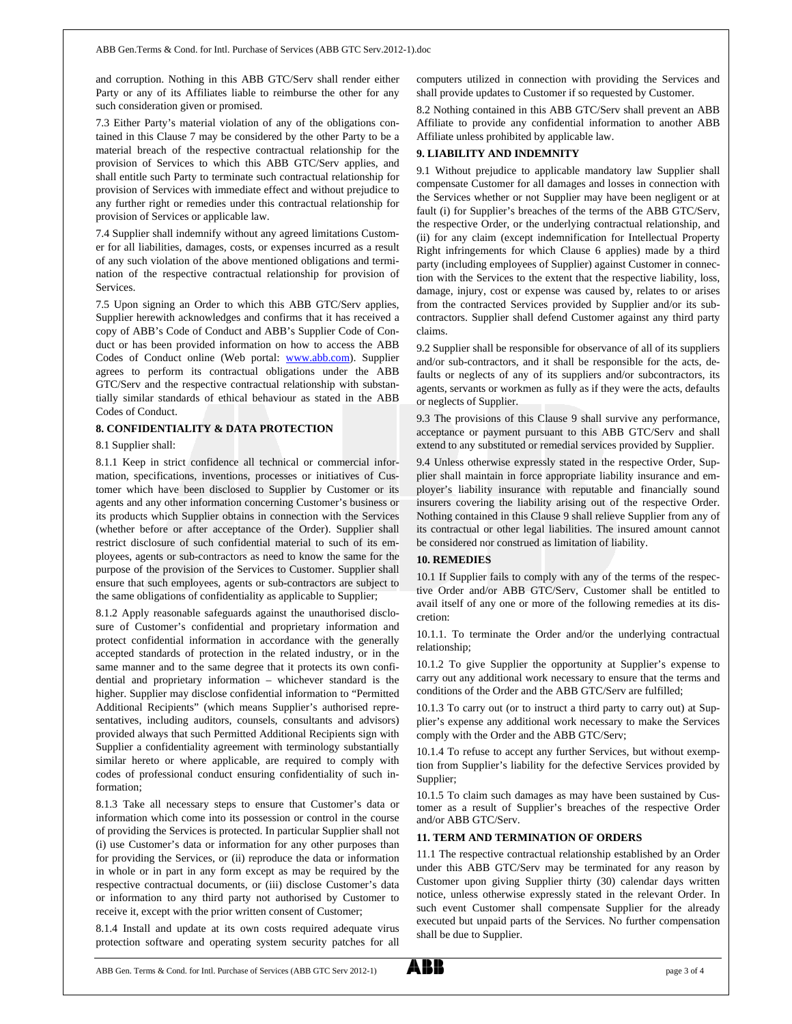and corruption. Nothing in this ABB GTC/Serv shall render either Party or any of its Affiliates liable to reimburse the other for any such consideration given or promised.

7.3 Either Party's material violation of any of the obligations contained in this Clause 7 may be considered by the other Party to be a material breach of the respective contractual relationship for the provision of Services to which this ABB GTC/Serv applies, and shall entitle such Party to terminate such contractual relationship for provision of Services with immediate effect and without prejudice to any further right or remedies under this contractual relationship for provision of Services or applicable law.

7.4 Supplier shall indemnify without any agreed limitations Customer for all liabilities, damages, costs, or expenses incurred as a result of any such violation of the above mentioned obligations and termination of the respective contractual relationship for provision of Services.

7.5 Upon signing an Order to which this ABB GTC/Serv applies, Supplier herewith acknowledges and confirms that it has received a copy of ABB's Code of Conduct and ABB's Supplier Code of Conduct or has been provided information on how to access the ABB Codes of Conduct online (Web portal: www.abb.com). Supplier agrees to perform its contractual obligations under the ABB GTC/Serv and the respective contractual relationship with substantially similar standards of ethical behaviour as stated in the ABB Codes of Conduct.

#### **8. CONFIDENTIALITY & DATA PROTECTION**

#### 8.1 Supplier shall:

8.1.1 Keep in strict confidence all technical or commercial information, specifications, inventions, processes or initiatives of Customer which have been disclosed to Supplier by Customer or its agents and any other information concerning Customer's business or its products which Supplier obtains in connection with the Services (whether before or after acceptance of the Order). Supplier shall restrict disclosure of such confidential material to such of its employees, agents or sub-contractors as need to know the same for the purpose of the provision of the Services to Customer. Supplier shall ensure that such employees, agents or sub-contractors are subject to the same obligations of confidentiality as applicable to Supplier;

8.1.2 Apply reasonable safeguards against the unauthorised disclosure of Customer's confidential and proprietary information and protect confidential information in accordance with the generally accepted standards of protection in the related industry, or in the same manner and to the same degree that it protects its own confidential and proprietary information – whichever standard is the higher. Supplier may disclose confidential information to "Permitted Additional Recipients" (which means Supplier's authorised representatives, including auditors, counsels, consultants and advisors) provided always that such Permitted Additional Recipients sign with Supplier a confidentiality agreement with terminology substantially similar hereto or where applicable, are required to comply with codes of professional conduct ensuring confidentiality of such information;

8.1.3 Take all necessary steps to ensure that Customer's data or information which come into its possession or control in the course of providing the Services is protected. In particular Supplier shall not (i) use Customer's data or information for any other purposes than for providing the Services, or (ii) reproduce the data or information in whole or in part in any form except as may be required by the respective contractual documents, or (iii) disclose Customer's data or information to any third party not authorised by Customer to receive it, except with the prior written consent of Customer;

8.1.4 Install and update at its own costs required adequate virus protection software and operating system security patches for all computers utilized in connection with providing the Services and shall provide updates to Customer if so requested by Customer.

8.2 Nothing contained in this ABB GTC/Serv shall prevent an ABB Affiliate to provide any confidential information to another ABB Affiliate unless prohibited by applicable law.

#### **9. LIABILITY AND INDEMNITY**

9.1 Without prejudice to applicable mandatory law Supplier shall compensate Customer for all damages and losses in connection with the Services whether or not Supplier may have been negligent or at fault (i) for Supplier's breaches of the terms of the ABB GTC/Serv, the respective Order, or the underlying contractual relationship, and (ii) for any claim (except indemnification for Intellectual Property Right infringements for which Clause 6 applies) made by a third party (including employees of Supplier) against Customer in connection with the Services to the extent that the respective liability, loss, damage, injury, cost or expense was caused by, relates to or arises from the contracted Services provided by Supplier and/or its subcontractors. Supplier shall defend Customer against any third party claims.

9.2 Supplier shall be responsible for observance of all of its suppliers and/or sub-contractors, and it shall be responsible for the acts, defaults or neglects of any of its suppliers and/or subcontractors, its agents, servants or workmen as fully as if they were the acts, defaults or neglects of Supplier.

9.3 The provisions of this Clause 9 shall survive any performance, acceptance or payment pursuant to this ABB GTC/Serv and shall extend to any substituted or remedial services provided by Supplier.

9.4 Unless otherwise expressly stated in the respective Order, Supplier shall maintain in force appropriate liability insurance and employer's liability insurance with reputable and financially sound insurers covering the liability arising out of the respective Order. Nothing contained in this Clause 9 shall relieve Supplier from any of its contractual or other legal liabilities. The insured amount cannot be considered nor construed as limitation of liability.

#### **10. REMEDIES**

10.1 If Supplier fails to comply with any of the terms of the respective Order and/or ABB GTC/Serv, Customer shall be entitled to avail itself of any one or more of the following remedies at its discretion:

10.1.1. To terminate the Order and/or the underlying contractual relationship;

10.1.2 To give Supplier the opportunity at Supplier's expense to carry out any additional work necessary to ensure that the terms and conditions of the Order and the ABB GTC/Serv are fulfilled;

10.1.3 To carry out (or to instruct a third party to carry out) at Supplier's expense any additional work necessary to make the Services comply with the Order and the ABB GTC/Serv;

10.1.4 To refuse to accept any further Services, but without exemption from Supplier's liability for the defective Services provided by Supplier;

10.1.5 To claim such damages as may have been sustained by Customer as a result of Supplier's breaches of the respective Order and/or ABB GTC/Serv.

#### **11. TERM AND TERMINATION OF ORDERS**

11.1 The respective contractual relationship established by an Order under this ABB GTC/Serv may be terminated for any reason by Customer upon giving Supplier thirty (30) calendar days written notice, unless otherwise expressly stated in the relevant Order. In such event Customer shall compensate Supplier for the already executed but unpaid parts of the Services. No further compensation shall be due to Supplier.